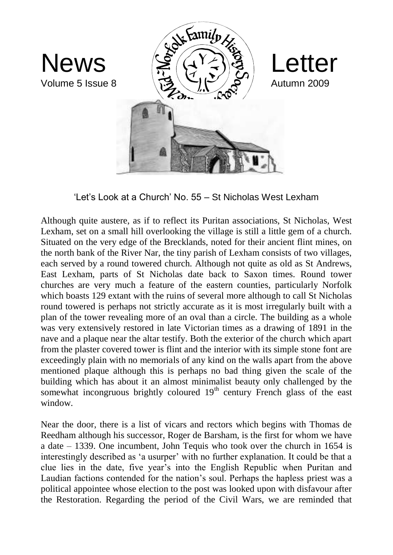

'Let's Look at a Church' No. 55 – St Nicholas West Lexham

Although quite austere, as if to reflect its Puritan associations, St Nicholas, West Lexham, set on a small hill overlooking the village is still a little gem of a church. Situated on the very edge of the Brecklands, noted for their ancient flint mines, on the north bank of the River Nar, the tiny parish of Lexham consists of two villages, each served by a round towered church. Although not quite as old as St Andrews, East Lexham, parts of St Nicholas date back to Saxon times. Round tower churches are very much a feature of the eastern counties, particularly Norfolk which boasts 129 extant with the ruins of several more although to call St Nicholas round towered is perhaps not strictly accurate as it is most irregularly built with a plan of the tower revealing more of an oval than a circle. The building as a whole was very extensively restored in late Victorian times as a drawing of 1891 in the nave and a plaque near the altar testify. Both the exterior of the church which apart from the plaster covered tower is flint and the interior with its simple stone font are exceedingly plain with no memorials of any kind on the walls apart from the above mentioned plaque although this is perhaps no bad thing given the scale of the building which has about it an almost minimalist beauty only challenged by the somewhat incongruous brightly coloured 19<sup>th</sup> century French glass of the east window.

Near the door, there is a list of vicars and rectors which begins with Thomas de Reedham although his successor, Roger de Barsham, is the first for whom we have a date – 1339. One incumbent, John Tequis who took over the church in 1654 is interestingly described as 'a usurper' with no further explanation. It could be that a clue lies in the date, five year's into the English Republic when Puritan and Laudian factions contended for the nation's soul. Perhaps the hapless priest was a political appointee whose election to the post was looked upon with disfavour after the Restoration. Regarding the period of the Civil Wars, we are reminded that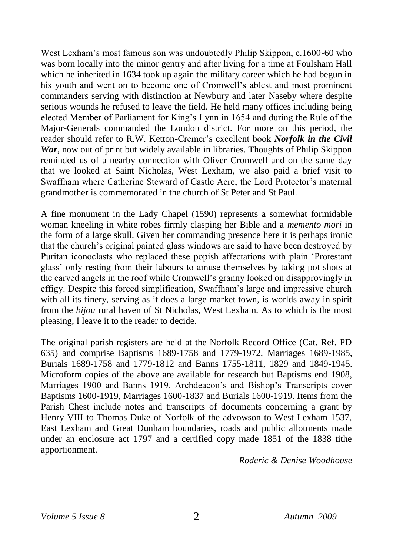West Lexham's most famous son was undoubtedly Philip Skippon, c.1600-60 who was born locally into the minor gentry and after living for a time at Foulsham Hall which he inherited in 1634 took up again the military career which he had begun in his youth and went on to become one of Cromwell's ablest and most prominent commanders serving with distinction at Newbury and later Naseby where despite serious wounds he refused to leave the field. He held many offices including being elected Member of Parliament for King's Lynn in 1654 and during the Rule of the Major-Generals commanded the London district. For more on this period, the reader should refer to R.W. Ketton-Cremer's excellent book *Norfolk in the Civil War*, now out of print but widely available in libraries. Thoughts of Philip Skippon reminded us of a nearby connection with Oliver Cromwell and on the same day that we looked at Saint Nicholas, West Lexham, we also paid a brief visit to Swaffham where Catherine Steward of Castle Acre, the Lord Protector's maternal grandmother is commemorated in the church of St Peter and St Paul.

A fine monument in the Lady Chapel (1590) represents a somewhat formidable woman kneeling in white robes firmly clasping her Bible and a *memento mori* in the form of a large skull. Given her commanding presence here it is perhaps ironic that the church's original painted glass windows are said to have been destroyed by Puritan iconoclasts who replaced these popish affectations with plain 'Protestant glass' only resting from their labours to amuse themselves by taking pot shots at the carved angels in the roof while Cromwell's granny looked on disapprovingly in effigy. Despite this forced simplification, Swaffham's large and impressive church with all its finery, serving as it does a large market town, is worlds away in spirit from the *bijou* rural haven of St Nicholas, West Lexham. As to which is the most pleasing, I leave it to the reader to decide.

The original parish registers are held at the Norfolk Record Office (Cat. Ref. PD 635) and comprise Baptisms 1689-1758 and 1779-1972, Marriages 1689-1985, Burials 1689-1758 and 1779-1812 and Banns 1755-1811, 1829 and 1849-1945. Microform copies of the above are available for research but Baptisms end 1908, Marriages 1900 and Banns 1919. Archdeacon's and Bishop's Transcripts cover Baptisms 1600-1919, Marriages 1600-1837 and Burials 1600-1919. Items from the Parish Chest include notes and transcripts of documents concerning a grant by Henry VIII to Thomas Duke of Norfolk of the advowson to West Lexham 1537, East Lexham and Great Dunham boundaries, roads and public allotments made under an enclosure act 1797 and a certified copy made 1851 of the 1838 tithe apportionment.

*Roderic & Denise Woodhouse*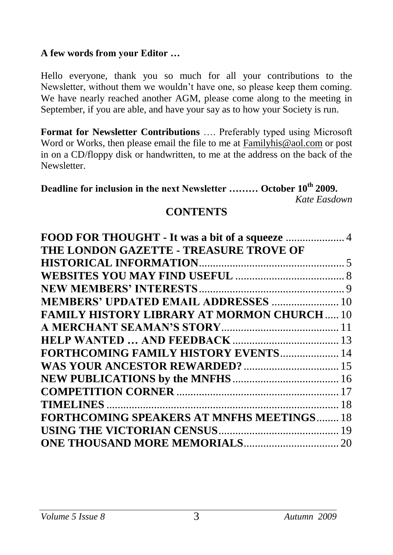#### **A few words from your Editor …**

Hello everyone, thank you so much for all your contributions to the Newsletter, without them we wouldn't have one, so please keep them coming. We have nearly reached another AGM, please come along to the meeting in September, if you are able, and have your say as to how your Society is run.

**Format for Newsletter Contributions** …. Preferably typed using Microsoft Word or Works, then please email the file to me at [Familyhis@aol.com](mailto:Familyhis@aol.com) or post in on a CD/floppy disk or handwritten, to me at the address on the back of the Newsletter.

**Deadline for inclusion in the next Newsletter ……… October 10th 2009.** *Kate Easdown*

#### **CONTENTS**

| THE LONDON GAZETTE - TREASURE TROVE OF           |  |
|--------------------------------------------------|--|
|                                                  |  |
|                                                  |  |
|                                                  |  |
| <b>MEMBERS' UPDATED EMAIL ADDRESSES  10</b>      |  |
| <b>FAMILY HISTORY LIBRARY AT MORMON CHURCH10</b> |  |
|                                                  |  |
|                                                  |  |
| <b>FORTHCOMING FAMILY HISTORY EVENTS 14</b>      |  |
|                                                  |  |
|                                                  |  |
|                                                  |  |
|                                                  |  |
| <b>FORTHCOMING SPEAKERS AT MNFHS MEETINGS 18</b> |  |
|                                                  |  |
|                                                  |  |
|                                                  |  |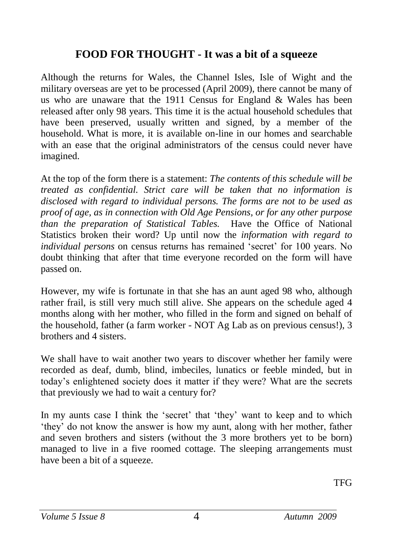#### <span id="page-3-0"></span>**FOOD FOR THOUGHT - It was a bit of a squeeze**

Although the returns for Wales, the Channel Isles, Isle of Wight and the military overseas are yet to be processed (April 2009), there cannot be many of us who are unaware that the 1911 Census for England & Wales has been released after only 98 years. This time it is the actual household schedules that have been preserved, usually written and signed, by a member of the household. What is more, it is available on-line in our homes and searchable with an ease that the original administrators of the census could never have imagined.

At the top of the form there is a statement: *The contents of this schedule will be treated as confidential. Strict care will be taken that no information is disclosed with regard to individual persons. The forms are not to be used as proof of age, as in connection with Old Age Pensions, or for any other purpose than the preparation of Statistical Tables.* Have the Office of National Statistics broken their word? Up until now the *information with regard to individual persons* on census returns has remained 'secret' for 100 years. No doubt thinking that after that time everyone recorded on the form will have passed on.

However, my wife is fortunate in that she has an aunt aged 98 who, although rather frail, is still very much still alive. She appears on the schedule aged 4 months along with her mother, who filled in the form and signed on behalf of the household, father (a farm worker - NOT Ag Lab as on previous census!), 3 brothers and 4 sisters.

We shall have to wait another two years to discover whether her family were recorded as deaf, dumb, blind, imbeciles, lunatics or feeble minded, but in today's enlightened society does it matter if they were? What are the secrets that previously we had to wait a century for?

In my aunts case I think the 'secret' that 'they' want to keep and to which 'they' do not know the answer is how my aunt, along with her mother, father and seven brothers and sisters (without the 3 more brothers yet to be born) managed to live in a five roomed cottage. The sleeping arrangements must have been a bit of a squeeze.

TFG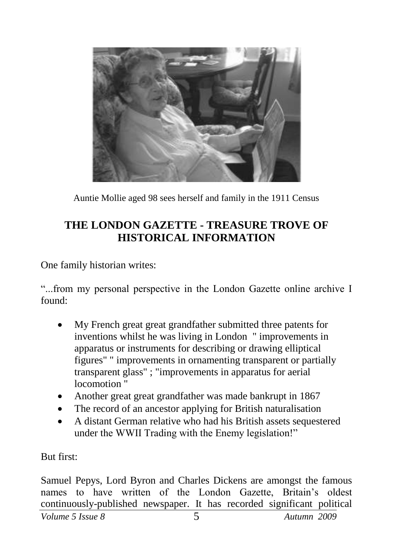

<span id="page-4-0"></span>Auntie Mollie aged 98 sees herself and family in the 1911 Census

## **THE LONDON GAZETTE - TREASURE TROVE OF HISTORICAL INFORMATION**

One family historian writes:

"...from my personal perspective in the London Gazette online archive I found:

- My French great great grandfather submitted three patents for inventions whilst he was living in London " improvements in apparatus or instruments for describing or drawing elliptical figures" " improvements in ornamenting transparent or partially transparent glass" ; "improvements in apparatus for aerial locomotion "
- Another great great grandfather was made bankrupt in 1867
- The record of an ancestor applying for British naturalisation
- A distant German relative who had his British assets sequestered under the WWII Trading with the Enemy legislation!"

But first:

Samuel Pepys, Lord Byron and Charles Dickens are amongst the famous names to have written of the London Gazette, Britain's oldest continuously-published newspaper. It has recorded significant political

*Volume 5 Issue 8* 5 *Autumn 2009*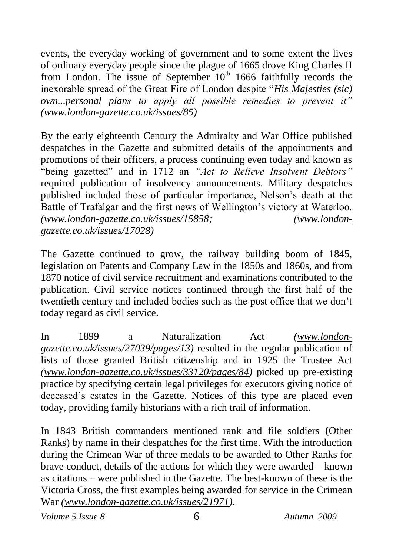events, the everyday working of government and to some extent the lives of ordinary everyday people since the plague of 1665 drove King Charles II from London. The issue of September  $10<sup>th</sup>$  1666 faithfully records the inexorable spread of the Great Fire of London despite "*His Majesties (sic) own...personal plans to apply all possible remedies to prevent it" [\(www.london-gazette.co.uk/issues/85\)](http://www.london-gazette.co.uk/issues/85)*

By the early eighteenth Century the Admiralty and War Office published despatches in the Gazette and submitted details of the appointments and promotions of their officers, a process continuing even today and known as "being gazetted" and in 1712 an *"Act to Relieve Insolvent Debtors"* required publication of insolvency announcements. Military despatches published included those of particular importance, Nelson's death at the Battle of Trafalgar and the first news of Wellington's victory at Waterloo. *[\(www.london-gazette.co.uk/issues/15858;](http://www.london-gazette.co.uk/issues/15858) [\(www.london](http://www.london-gazette.co.uk/issues/17028)[gazette.co.uk/issues/17028\)](http://www.london-gazette.co.uk/issues/17028)*

The Gazette continued to grow, the railway building boom of 1845, legislation on Patents and Company Law in the 1850s and 1860s, and from 1870 notice of civil service recruitment and examinations contributed to the publication. Civil service notices continued through the first half of the twentieth century and included bodies such as the post office that we don't today regard as civil service.

In 1899 a Naturalization Act *[\(www.london](http://www.london-gazette.co.uk/issues/27039/pages/13)[gazette.co.uk/issues/27039/pages/13\)](http://www.london-gazette.co.uk/issues/27039/pages/13)* resulted in the regular publication of lists of those granted British citizenship and in 1925 the Trustee Act *[\(www.london-gazette.co.uk/issues/33120/pages/84\)](http://www.london-gazette.co.uk/issues/33120/pages/84)* picked up pre-existing practice by specifying certain legal privileges for executors giving notice of deceased's estates in the Gazette. Notices of this type are placed even today, providing family historians with a rich trail of information.

In 1843 British commanders mentioned rank and file soldiers (Other Ranks) by name in their despatches for the first time. With the introduction during the Crimean War of three medals to be awarded to Other Ranks for brave conduct, details of the actions for which they were awarded – known as citations – were published in the Gazette. The best-known of these is the Victoria Cross, the first examples being awarded for service in the Crimean War *[\(www.london-gazette.co.uk/issues/21971\)](http://www.london-gazette.co.uk/issues/21971)*.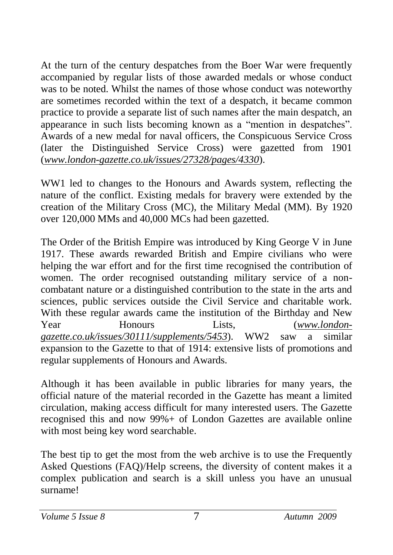At the turn of the century despatches from the Boer War were frequently accompanied by regular lists of those awarded medals or whose conduct was to be noted. Whilst the names of those whose conduct was noteworthy are sometimes recorded within the text of a despatch, it became common practice to provide a separate list of such names after the main despatch, an appearance in such lists becoming known as a "mention in despatches". Awards of a new medal for naval officers, the Conspicuous Service Cross (later the Distinguished Service Cross) were gazetted from 1901 (*[www.london-gazette.co.uk/issues/27328/pages/4330](http://www.london-gazette.co.uk/issues/27328/pages/4330)*).

WW1 led to changes to the Honours and Awards system, reflecting the nature of the conflict. Existing medals for bravery were extended by the creation of the Military Cross (MC), the Military Medal (MM). By 1920 over 120,000 MMs and 40,000 MCs had been gazetted.

The Order of the British Empire was introduced by King George V in June 1917. These awards rewarded British and Empire civilians who were helping the war effort and for the first time recognised the contribution of women. The order recognised outstanding military service of a noncombatant nature or a distinguished contribution to the state in the arts and sciences, public services outside the Civil Service and charitable work. With these regular awards came the institution of the Birthday and New Year Honours Lists, (*[www.london](http://www.london-gazette.co.uk/issues/30111/supplements/5453)[gazette.co.uk/issues/30111/supplements/5453](http://www.london-gazette.co.uk/issues/30111/supplements/5453)*). WW2 saw a similar expansion to the Gazette to that of 1914: extensive lists of promotions and regular supplements of Honours and Awards.

Although it has been available in public libraries for many years, the official nature of the material recorded in the Gazette has meant a limited circulation, making access difficult for many interested users. The Gazette recognised this and now 99%+ of London Gazettes are available online with most being key word searchable.

The best tip to get the most from the web archive is to use the Frequently Asked Questions (FAQ)/Help screens, the diversity of content makes it a complex publication and search is a skill unless you have an unusual surname!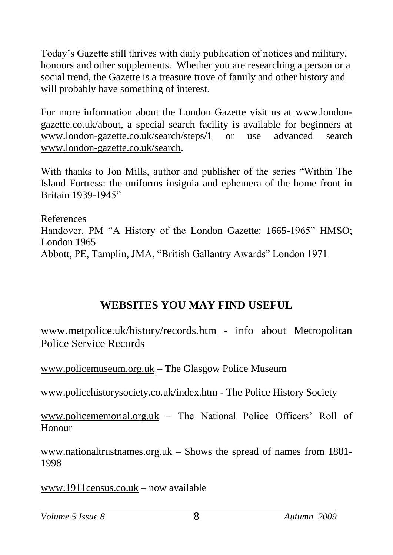Today's Gazette still thrives with daily publication of notices and military, honours and other supplements. Whether you are researching a person or a social trend, the Gazette is a treasure trove of family and other history and will probably have something of interest.

For more information about the London Gazette visit us at [www.london](http://www.london-gazette.co.uk/about)[gazette.co.uk/about,](http://www.london-gazette.co.uk/about) a special search facility is available for beginners at [www.london-gazette.co.uk/search/steps/1](http://www.london-gazette.co.uk/search/steps/1) or use advanced search [www.london-gazette.co.uk/search.](http://www.london-gazette.co.uk/search)

With thanks to Jon Mills, author and publisher of the series "Within The Island Fortress: the uniforms insignia and ephemera of the home front in Britain 1939-1945"

References Handover, PM "A History of the London Gazette: 1665-1965" HMSO; London 1965 Abbott, PE, Tamplin, JMA, "British Gallantry Awards" London 1971

### <span id="page-7-0"></span>**WEBSITES YOU MAY FIND USEFUL**

[www.metpolice.uk/history/records.htm](http://www.metpolice.uk/history/records.htm) - info about Metropolitan Police Service Records

[www.policemuseum.org.uk](http://www.policemuseum.org.uk/) – The Glasgow Police Museum

[www.policehistorysociety.co.uk/index.htm](http://www.policehistorysociety.co.uk/index.htm) - The Police History Society

[www.policememorial.org.uk](http://www.policememorial.org.uk/) – The National Police Officers' Roll of Honour

[www.nationaltrustnames.org.uk](http://www.nationaltrustnames.org.uk/) – Shows the spread of names from 1881- 1998

[www.1911census.co.uk](http://www.1911census.co.uk/) – now available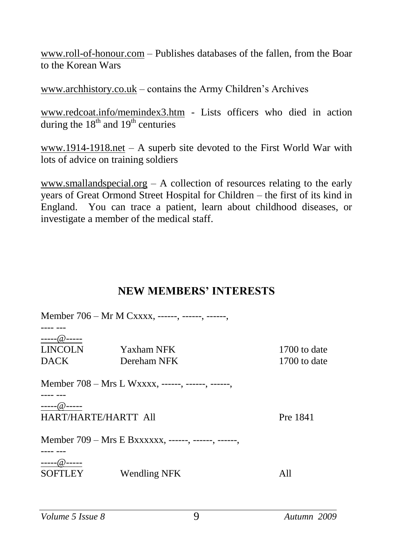[www.roll-of-honour.com](http://www.roll-of-honour.com/) – Publishes databases of the fallen, from the Boar to the Korean Wars

[www.archhistory.co.uk](http://www.archhistory.co.uk/) – contains the Army Children's Archives

[www.redcoat.info/memindex3.htm](http://www.redcoat.info/memindex3.htm) - Lists officers who died in action during the  $18^{th}$  and  $19^{th}$  centuries

[www.1914-1918.net](http://www.1914-1918.net/) – A superb site devoted to the First World War with lots of advice on training soldiers

[www.smallandspecial.org](http://www.smallandspecial.org/) – A collection of resources relating to the early years of Great Ormond Street Hospital for Children – the first of its kind in England. You can trace a patient, learn about childhood diseases, or investigate a member of the medical staff.

#### <span id="page-8-0"></span>**NEW MEMBERS' INTERESTS**

|                      | Member 706 – Mr M Cxxxx, ------, ------, ------,    |              |
|----------------------|-----------------------------------------------------|--------------|
|                      |                                                     |              |
| ----- $@$ -----      |                                                     |              |
| LINCOLN              | Yaxham NFK                                          | 1700 to date |
| <b>DACK</b>          | Dereham NFK                                         | 1700 to date |
|                      | Member 708 – Mrs L Wxxxx, ------, ------, ------,   |              |
| $---@---$            |                                                     |              |
| HART/HARTE/HARTT All |                                                     | Pre 1841     |
|                      | Member 709 - Mrs E Bxxxxxx, ------, ------, ------, |              |
|                      |                                                     |              |
| $-- @$ $---$         |                                                     |              |
| <b>SOFTLEY</b>       | Wendling NFK                                        | All          |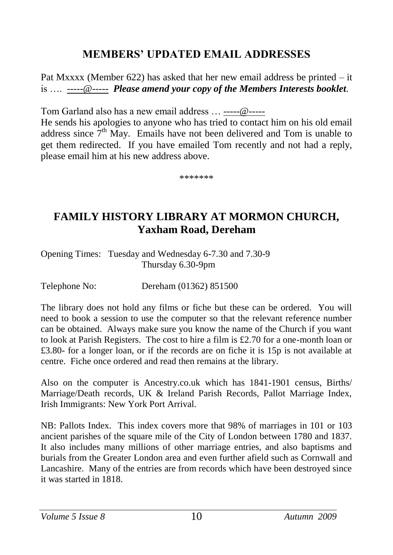#### **MEMBERS' UPDATED EMAIL ADDRESSES**

Pat Mxxxx (Member 622) has asked that her new email address be printed – it is …. -----@----- *Please amend your copy of the Members Interests booklet*.

Tom Garland also has a new email address … -----@-----

He sends his apologies to anyone who has tried to contact him on his old email address since  $7<sup>th</sup>$  May. Emails have not been delivered and Tom is unable to get them redirected. If you have emailed Tom recently and not had a reply, please email him at his new address above.

<span id="page-9-1"></span><span id="page-9-0"></span>\*\*\*\*\*\*\*

## **FAMILY HISTORY LIBRARY AT MORMON CHURCH, Yaxham Road, Dereham**

Opening Times: Tuesday and Wednesday 6-7.30 and 7.30-9 Thursday 6.30-9pm

Telephone No: Dereham (01362) 851500

The library does not hold any films or fiche but these can be ordered. You will need to book a session to use the computer so that the relevant reference number can be obtained. Always make sure you know the name of the Church if you want to look at Parish Registers. The cost to hire a film is £2.70 for a one-month loan or £3.80- for a longer loan, or if the records are on fiche it is 15p is not available at centre. Fiche once ordered and read then remains at the library.

Also on the computer is Ancestry.co.uk which has 1841-1901 census, Births/ Marriage/Death records, UK & Ireland Parish Records, Pallot Marriage Index, Irish Immigrants: New York Port Arrival.

NB: Pallots Index. This index covers more that 98% of marriages in 101 or 103 ancient parishes of the square mile of the City of London between 1780 and 1837. It also includes many millions of other marriage entries, and also baptisms and burials from the Greater London area and even further afield such as Cornwall and Lancashire. Many of the entries are from records which have been destroyed since it was started in 1818.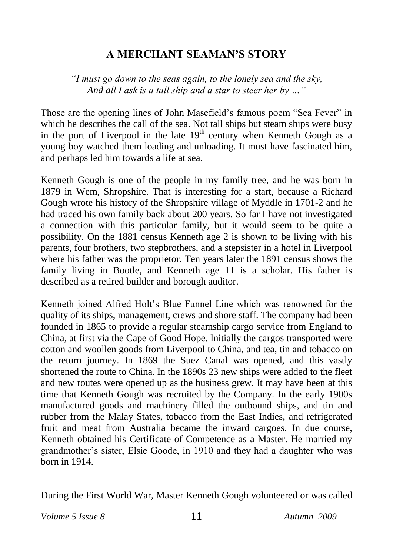### <span id="page-10-0"></span>**A MERCHANT SEAMAN'S STORY**

*"I must go down to the seas again, to the lonely sea and the sky, And all I ask is a tall ship and a star to steer her by …"* 

Those are the opening lines of John Masefield's famous poem "Sea Fever" in which he describes the call of the sea. Not tall ships but steam ships were busy in the port of Liverpool in the late  $19<sup>th</sup>$  century when Kenneth Gough as a young boy watched them loading and unloading. It must have fascinated him, and perhaps led him towards a life at sea.

Kenneth Gough is one of the people in my family tree, and he was born in 1879 in Wem, Shropshire. That is interesting for a start, because a Richard Gough wrote his history of the Shropshire village of Myddle in 1701-2 and he had traced his own family back about 200 years. So far I have not investigated a connection with this particular family, but it would seem to be quite a possibility. On the 1881 census Kenneth age 2 is shown to be living with his parents, four brothers, two stepbrothers, and a stepsister in a hotel in Liverpool where his father was the proprietor. Ten years later the 1891 census shows the family living in Bootle, and Kenneth age 11 is a scholar. His father is described as a retired builder and borough auditor.

Kenneth joined Alfred Holt's Blue Funnel Line which was renowned for the quality of its ships, management, crews and shore staff. The company had been founded in 1865 to provide a regular steamship cargo service from England to China, at first via the Cape of Good Hope. Initially the cargos transported were cotton and woollen goods from Liverpool to China, and tea, tin and tobacco on the return journey. In 1869 the Suez Canal was opened, and this vastly shortened the route to China. In the 1890s 23 new ships were added to the fleet and new routes were opened up as the business grew. It may have been at this time that Kenneth Gough was recruited by the Company. In the early 1900s manufactured goods and machinery filled the outbound ships, and tin and rubber from the Malay States, tobacco from the East Indies, and refrigerated fruit and meat from Australia became the inward cargoes. In due course, Kenneth obtained his Certificate of Competence as a Master. He married my grandmother's sister, Elsie Goode, in 1910 and they had a daughter who was born in 1914.

During the First World War, Master Kenneth Gough volunteered or was called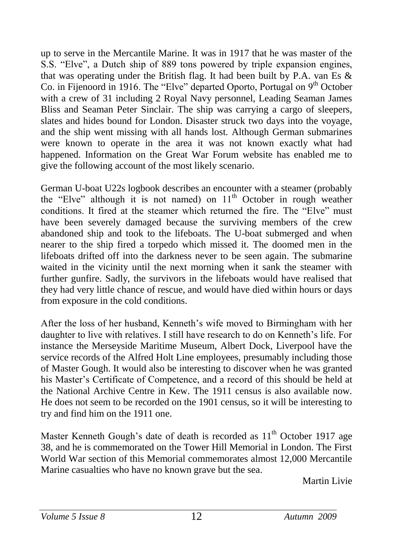up to serve in the Mercantile Marine. It was in 1917 that he was master of the S.S. "Elve", a Dutch ship of 889 tons powered by triple expansion engines, that was operating under the British flag. It had been built by P.A. van Es & Co. in Fijenoord in 1916. The "Elve" departed Oporto, Portugal on  $9<sup>th</sup>$  October with a crew of 31 including 2 Royal Navy personnel, Leading Seaman James Bliss and Seaman Peter Sinclair. The ship was carrying a cargo of sleepers, slates and hides bound for London. Disaster struck two days into the voyage, and the ship went missing with all hands lost. Although German submarines were known to operate in the area it was not known exactly what had happened. Information on the Great War Forum website has enabled me to give the following account of the most likely scenario.

German U-boat U22s logbook describes an encounter with a steamer (probably the "Elve" although it is not named) on  $11<sup>th</sup>$  October in rough weather conditions. It fired at the steamer which returned the fire. The "Elve" must have been severely damaged because the surviving members of the crew abandoned ship and took to the lifeboats. The U-boat submerged and when nearer to the ship fired a torpedo which missed it. The doomed men in the lifeboats drifted off into the darkness never to be seen again. The submarine waited in the vicinity until the next morning when it sank the steamer with further gunfire. Sadly, the survivors in the lifeboats would have realised that they had very little chance of rescue, and would have died within hours or days from exposure in the cold conditions.

After the loss of her husband, Kenneth's wife moved to Birmingham with her daughter to live with relatives. I still have research to do on Kenneth's life. For instance the Merseyside Maritime Museum, Albert Dock, Liverpool have the service records of the Alfred Holt Line employees, presumably including those of Master Gough. It would also be interesting to discover when he was granted his Master's Certificate of Competence, and a record of this should be held at the National Archive Centre in Kew. The 1911 census is also available now. He does not seem to be recorded on the 1901 census, so it will be interesting to try and find him on the 1911 one.

Master Kenneth Gough's date of death is recorded as  $11<sup>th</sup>$  October 1917 age 38, and he is commemorated on the Tower Hill Memorial in London. The First World War section of this Memorial commemorates almost 12,000 Mercantile Marine casualties who have no known grave but the sea.

Martin Livie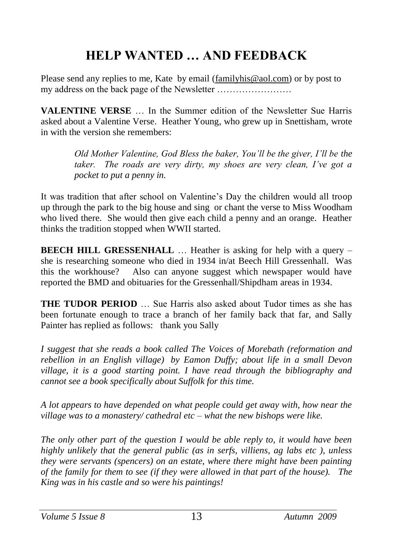# <span id="page-12-0"></span>**HELP WANTED … AND FEEDBACK**

Please send any replies to me, Kate by email [\(familyhis@aol.com\)](mailto:familyhis@aol.com) or by post to my address on the back page of the Newsletter ……………………

**VALENTINE VERSE** … In the Summer edition of the Newsletter Sue Harris asked about a Valentine Verse. Heather Young, who grew up in Snettisham, wrote in with the version she remembers:

> *Old Mother Valentine, God Bless the baker, You'll be the giver, I'll be the taker. The roads are very dirty, my shoes are very clean, I've got a pocket to put a penny in.*

It was tradition that after school on Valentine's Day the children would all troop up through the park to the big house and sing or chant the verse to Miss Woodham who lived there. She would then give each child a penny and an orange. Heather thinks the tradition stopped when WWII started.

**BEECH HILL GRESSENHALL** ... Heather is asking for help with a query – she is researching someone who died in 1934 in/at Beech Hill Gressenhall. Was this the workhouse? Also can anyone suggest which newspaper would have reported the BMD and obituaries for the Gressenhall/Shipdham areas in 1934.

**THE TUDOR PERIOD** … Sue Harris also asked about Tudor times as she has been fortunate enough to trace a branch of her family back that far, and Sally Painter has replied as follows: thank you Sally

*I suggest that she reads a book called The Voices of Morebath (reformation and rebellion in an English village) by Eamon Duffy; about life in a small Devon village, it is a good starting point. I have read through the bibliography and cannot see a book specifically about Suffolk for this time.*

*A lot appears to have depended on what people could get away with, how near the village was to a monastery/ cathedral etc – what the new bishops were like.*

*The only other part of the question I would be able reply to, it would have been highly unlikely that the general public (as in serfs, villiens, ag labs etc ), unless they were servants (spencers) on an estate, where there might have been painting of the family for them to see (if they were allowed in that part of the house). The King was in his castle and so were his paintings!*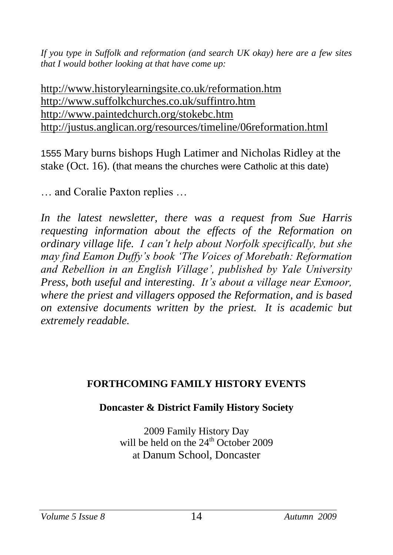*If you type in Suffolk and reformation (and search UK okay) here are a few sites that I would bother looking at that have come up:*

<http://www.historylearningsite.co.uk/reformation.htm> <http://www.suffolkchurches.co.uk/suffintro.htm> <http://www.paintedchurch.org/stokebc.htm> <http://justus.anglican.org/resources/timeline/06reformation.html>

1555 Mary burns bishops Hugh Latimer and Nicholas Ridley at the stake (Oct. 16). (that means the churches were Catholic at this date)

… and Coralie Paxton replies …

*In the latest newsletter, there was a request from Sue Harris requesting information about the effects of the Reformation on ordinary village life. I can't help about Norfolk specifically, but she may find Eamon Duffy's book 'The Voices of Morebath: Reformation and Rebellion in an English Village', published by Yale University Press, both useful and interesting. It's about a village near Exmoor, where the priest and villagers opposed the Reformation, and is based on extensive documents written by the priest. It is academic but extremely readable.*

#### **FORTHCOMING FAMILY HISTORY EVENTS**

#### **Doncaster & District Family History Society**

<span id="page-13-0"></span>2009 Family History Day will be held on the  $24<sup>th</sup>$  October 2009 at Danum School, Doncaster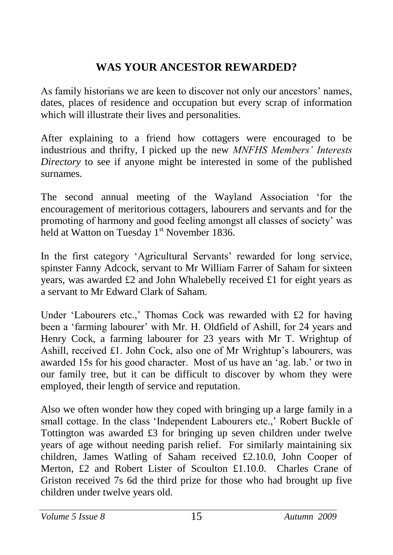## <span id="page-14-0"></span>**WAS YOUR ANCESTOR REWARDED?**

As family historians we are keen to discover not only our ancestors' names, dates, places of residence and occupation but every scrap of information which will illustrate their lives and personalities.

After explaining to a friend how cottagers were encouraged to be industrious and thrifty, I picked up the new *MNFHS Members' Interests Directory* to see if anyone might be interested in some of the published surnames.

The second annual meeting of the Wayland Association 'for the encouragement of meritorious cottagers, labourers and servants and for the promoting of harmony and good feeling amongst all classes of society' was held at Watton on Tuesday  $1<sup>st</sup>$  November 1836.

In the first category 'Agricultural Servants' rewarded for long service, spinster Fanny Adcock, servant to Mr William Farrer of Saham for sixteen years, was awarded £2 and John Whalebelly received £1 for eight years as a servant to Mr Edward Clark of Saham.

Under 'Labourers etc.,' Thomas Cock was rewarded with £2 for having been a 'farming labourer' with Mr. H. Oldfield of Ashill, for 24 years and Henry Cock, a farming labourer for 23 years with Mr T. Wrightup of Ashill, received £1. John Cock, also one of Mr Wrightup's labourers, was awarded 15s for his good character. Most of us have an 'ag. lab.' or two in our family tree, but it can be difficult to discover by whom they were employed, their length of service and reputation.

Also we often wonder how they coped with bringing up a large family in a small cottage. In the class 'Independent Labourers etc.,' Robert Buckle of Tottington was awarded £3 for bringing up seven children under twelve years of age without needing parish relief. For similarly maintaining six children, James Watling of Saham received £2.10.0, John Cooper of Merton, £2 and Robert Lister of Scoulton £1.10.0. Charles Crane of Griston received 7s 6d the third prize for those who had brought up five children under twelve years old.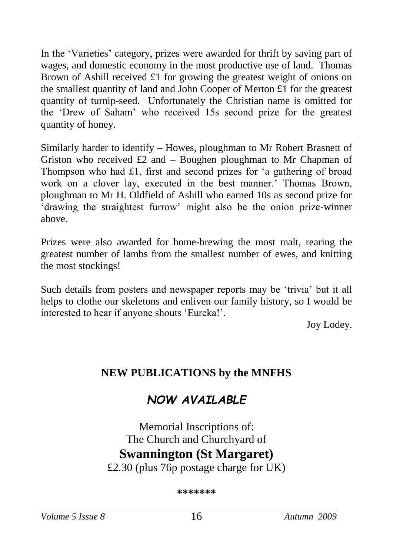In the 'Varieties' category, prizes were awarded for thrift by saving part of wages, and domestic economy in the most productive use of land. Thomas Brown of Ashill received £1 for growing the greatest weight of onions on the smallest quantity of land and John Cooper of Merton £1 for the greatest quantity of turnip-seed. Unfortunately the Christian name is omitted for the 'Drew of Saham' who received 15s second prize for the greatest quantity of honey.

Similarly harder to identify – Howes, ploughman to Mr Robert Brasnett of Griston who received  $\pounds 2$  and – Boughen ploughman to Mr Chapman of Thompson who had £1, first and second prizes for 'a gathering of broad work on a clover lay, executed in the best manner.' Thomas Brown, ploughman to Mr H. Oldfield of Ashill who earned 10s as second prize for 'drawing the straightest furrow' might also be the onion prize-winner above.

Prizes were also awarded for home-brewing the most malt, rearing the greatest number of lambs from the smallest number of ewes, and knitting the most stockings!

Such details from posters and newspaper reports may be 'trivia' but it all helps to clothe our skeletons and enliven our family history, so I would be interested to hear if anyone shouts 'Eureka!'.

<span id="page-15-0"></span>Joy Lodey.

## **NEW PUBLICATIONS by the MNFHS**

# *NOW AVAILABLE*

# Memorial Inscriptions of: The Church and Churchyard of **Swannington (St Margaret)**

£2.30 (plus 76p postage charge for UK)

**\*\*\*\*\*\*\***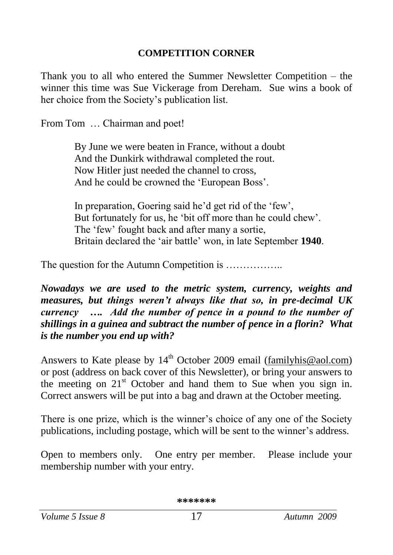#### <span id="page-16-0"></span>**COMPETITION CORNER**

Thank you to all who entered the Summer Newsletter Competition – the winner this time was Sue Vickerage from Dereham. Sue wins a book of her choice from the Society's publication list.

From Tom … Chairman and poet!

By June we were beaten in France, without a doubt And the Dunkirk withdrawal completed the rout. Now Hitler just needed the channel to cross, And he could be crowned the 'European Boss'.

In preparation, Goering said he'd get rid of the 'few', But fortunately for us, he 'bit off more than he could chew'. The 'few' fought back and after many a sortie, Britain declared the 'air battle' won, in late September **1940**.

The question for the Autumn Competition is ……………...

*Nowadays we are used to the metric system, currency, weights and measures, but things weren't always like that so, in pre-decimal UK currency …. Add the number of pence in a pound to the number of shillings in a guinea and subtract the number of pence in a florin? What is the number you end up with?*

Answers to Kate please by 14<sup>th</sup> October 2009 email [\(familyhis@aol.com\)](mailto:familyhis@aol.com) or post (address on back cover of this Newsletter), or bring your answers to the meeting on 21<sup>st</sup> October and hand them to Sue when you sign in. Correct answers will be put into a bag and drawn at the October meeting.

There is one prize, which is the winner's choice of any one of the Society publications, including postage, which will be sent to the winner's address.

Open to members only. One entry per member. Please include your membership number with your entry.

**\*\*\*\*\*\*\***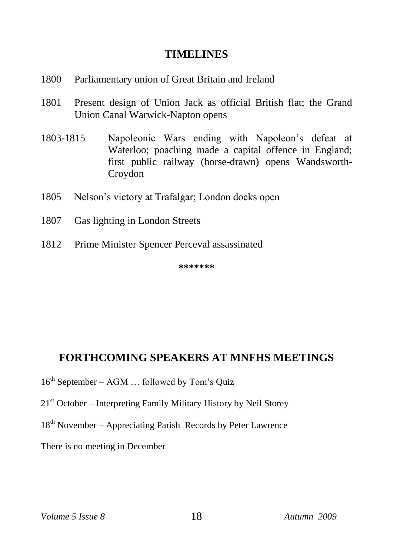#### <span id="page-17-0"></span>**TIMELINES**

- <span id="page-17-1"></span>1800 Parliamentary union of Great Britain and Ireland
- 1801 Present design of Union Jack as official British flat; the Grand Union Canal Warwick-Napton opens
- 1803-1815 Napoleonic Wars ending with Napoleon's defeat at Waterloo; poaching made a capital offence in England; first public railway (horse-drawn) opens Wandsworth-Croydon
- 1805 Nelson's victory at Trafalgar; London docks open
- 1807 Gas lighting in London Streets
- 1812 Prime Minister Spencer Perceval assassinated

**\*\*\*\*\*\*\***

#### **FORTHCOMING SPEAKERS AT MNFHS MEETINGS**

- $16<sup>th</sup>$  September AGM ... followed by Tom's Quiz
- $21<sup>st</sup> October Interpreting Family Military History by Neil Storey$
- $18<sup>th</sup>$  November Appreciating Parish Records by Peter Lawrence

There is no meeting in December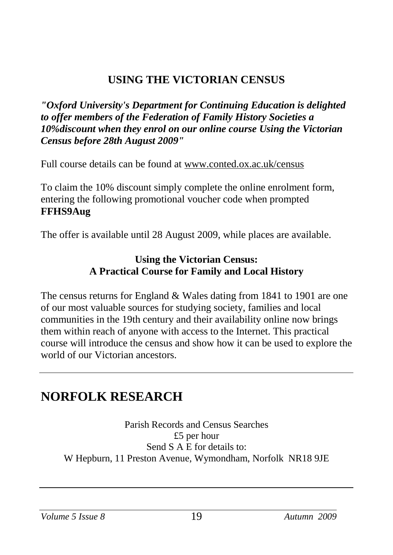## <span id="page-18-0"></span>**USING THE VICTORIAN CENSUS**

*"Oxford University's Department for Continuing Education is delighted to offer members of the Federation of Family History Societies a 10%discount when they enrol on our online course Using the Victorian Census before 28th August 2009"*

Full course details can be found at [www.conted.ox.ac.uk/census](http://www.conted.ox.ac.uk/census)

To claim the 10% discount simply complete the online enrolment form, entering the following promotional voucher code when prompted **FFHS9Aug**

The offer is available until 28 August 2009, while places are available.

#### **Using the Victorian Census: A Practical Course for Family and Local History**

The census returns for England & Wales dating from 1841 to 1901 are one of our most valuable sources for studying society, families and local communities in the 19th century and their availability online now brings them within reach of anyone with access to the Internet. This practical course will introduce the census and show how it can be used to explore the world of our Victorian ancestors.

## **NORFOLK RESEARCH**

Parish Records and Census Searches £5 per hour Send S A E for details to: W Hepburn, 11 Preston Avenue, Wymondham, Norfolk NR18 9JE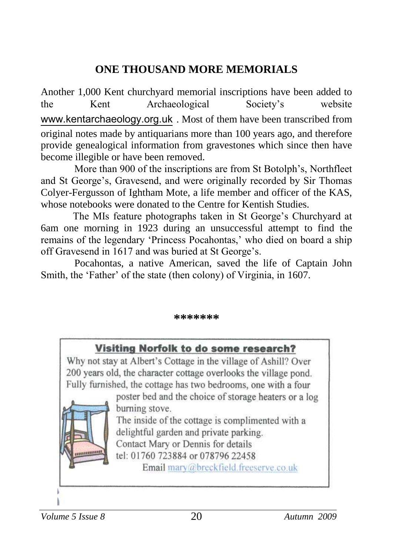## <span id="page-19-0"></span>**ONE THOUSAND MORE MEMORIALS**

Another 1,000 Kent churchyard memorial inscriptions have been added to the Kent Archaeological Society's website [www.kentarchaeology.org.uk](http://www.kentarchaeology.org.uk/) . Most of them have been transcribed from original notes made by antiquarians more than 100 years ago, and therefore provide genealogical information from gravestones which since then have become illegible or have been removed.

More than 900 of the inscriptions are from St Botolph's, Northfleet and St George's, Gravesend, and were originally recorded by Sir Thomas Colyer-Fergusson of Ightham Mote, a life member and officer of the KAS, whose notebooks were donated to the Centre for Kentish Studies.

The MIs feature photographs taken in St George's Churchyard at 6am one morning in 1923 during an unsuccessful attempt to find the remains of the legendary 'Princess Pocahontas,' who died on board a ship off Gravesend in 1617 and was buried at St George's.

Pocahontas, a native American, saved the life of Captain John Smith, the 'Father' of the state (then colony) of Virginia, in 1607.

#### **\*\*\*\*\*\*\***

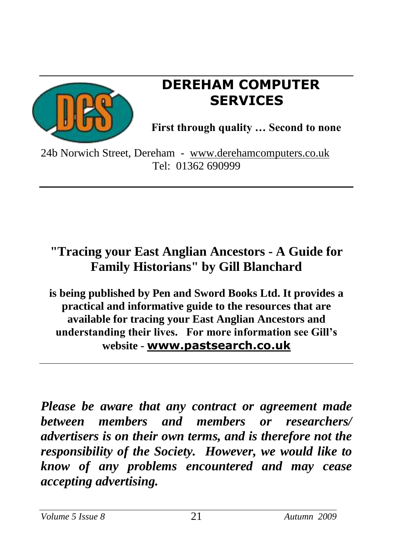

# **DEREHAM COMPUTER SERVICES**

**First through quality … Second to none**

24b Norwich Street, Dereham - [www.derehamcomputers.co.uk](http://www.derehamcomputers.co.uk/) Tel: 01362 690999

# **"Tracing your East Anglian Ancestors - A Guide for Family Historians" by Gill Blanchard**

**is being published by Pen and Sword Books Ltd. It provides a practical and informative guide to the resources that are available for tracing your East Anglian Ancestors and understanding their lives. For more information see Gill's website - [www.pastsearch.co.uk](http://www.pastsearch.co.uk/)**

*Please be aware that any contract or agreement made between members and members or researchers/ advertisers is on their own terms, and is therefore not the responsibility of the Society. However, we would like to know of any problems encountered and may cease accepting advertising.*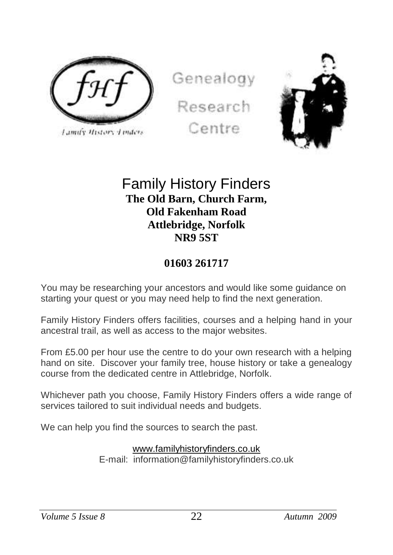

Lamify History Linders

Genealogy Research





## Family History Finders **The Old Barn, Church Farm, Old Fakenham Road Attlebridge, Norfolk NR9 5ST**

### **01603 261717**

You may be researching your ancestors and would like some guidance on starting your quest or you may need help to find the next generation.

Family History Finders offers facilities, courses and a helping hand in your ancestral trail, as well as access to the major websites.

From £5.00 per hour use the centre to do your own research with a helping hand on site. Discover your family tree, house history or take a genealogy course from the dedicated centre in Attlebridge, Norfolk.

Whichever path you choose, Family History Finders offers a wide range of services tailored to suit individual needs and budgets.

We can help you find the sources to search the past.

#### [www.familyhistoryfinders.co.uk](http://www.familyhistoryfinders.co.uk/)

E-mail: information@familyhistoryfinders.co.uk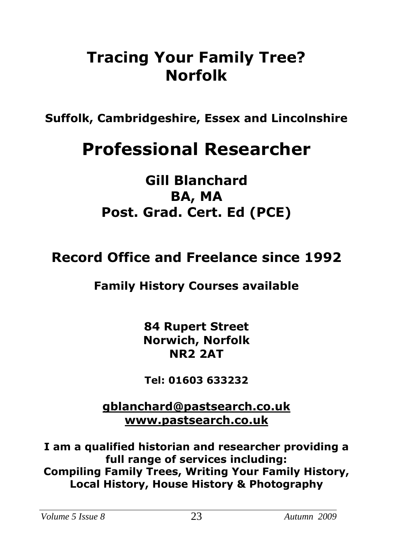# **Tracing Your Family Tree? Norfolk**

**Suffolk, Cambridgeshire, Essex and Lincolnshire**

# **Professional Researcher**

# **Gill Blanchard BA, MA Post. Grad. Cert. Ed (PCE)**

# **Record Office and Freelance since 1992**

# **Family History Courses available**

**84 Rupert Street Norwich, Norfolk NR2 2AT**

**Tel: 01603 633232**

**[gblanchard@pastsearch.co.uk](mailto:gblanchard@pastsearch.co.uk) [www.pastsearch.co.uk](http://www.pastsearch.co.uk/)**

**I am a qualified historian and researcher providing a full range of services including: Compiling Family Trees, Writing Your Family History, Local History, House History & Photography**